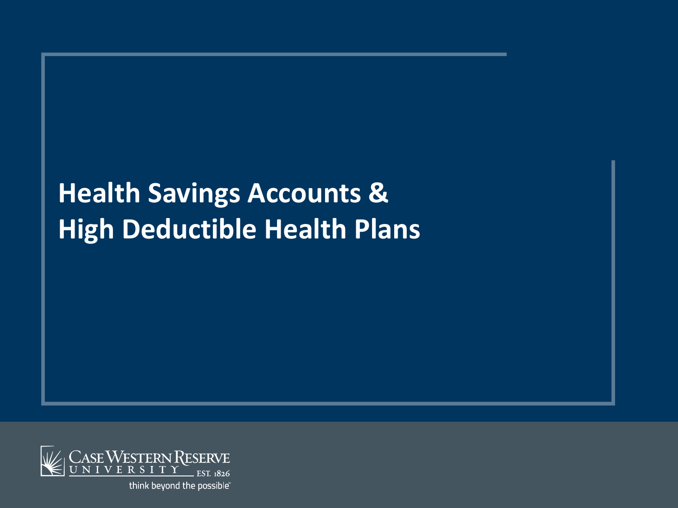# **Health Savings Accounts & High Deductible Health Plans**

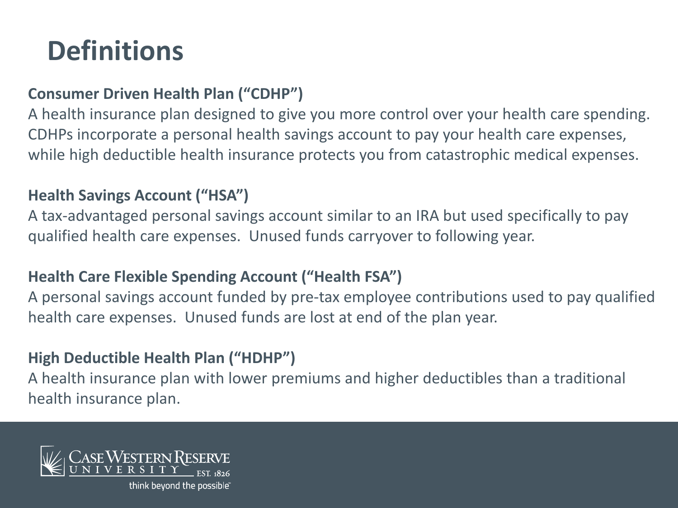# **Definitions**

## **Consumer Driven Health Plan ("CDHP")**

A health insurance plan designed to give you more control over your health care spending. CDHPs incorporate a personal health savings account to pay your health care expenses, while high deductible health insurance protects you from catastrophic medical expenses.

### **Health Savings Account ("HSA")**

A tax-advantaged personal savings account similar to an IRA but used specifically to pay qualified health care expenses. Unused funds carryover to following year.

### **Health Care Flexible Spending Account ("Health FSA")**

A personal savings account funded by pre-tax employee contributions used to pay qualified health care expenses. Unused funds are lost at end of the plan year.

### **High Deductible Health Plan ("HDHP")**

A health insurance plan with lower premiums and higher deductibles than a traditional health insurance plan.



think beyond the possible<sup>®</sup>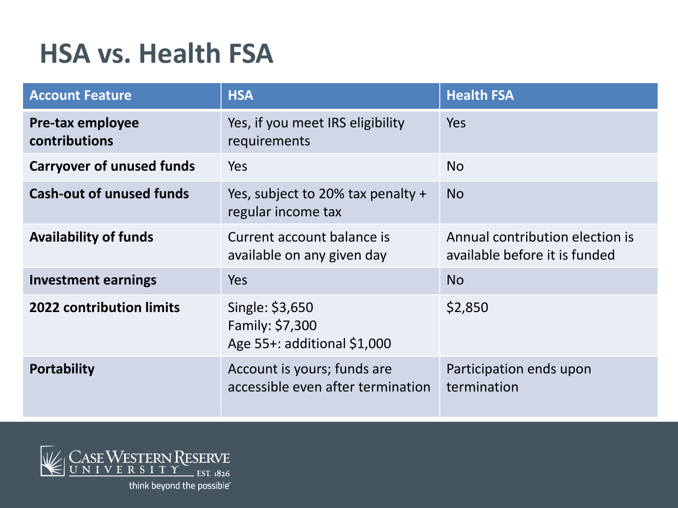## **HSA vs. Health FSA**

| <b>Account Feature</b>            | <b>HSA</b>                                                        | <b>Health FSA</b>                                                |
|-----------------------------------|-------------------------------------------------------------------|------------------------------------------------------------------|
| Pre-tax employee<br>contributions | Yes, if you meet IRS eligibility<br>requirements                  | Yes                                                              |
| <b>Carryover of unused funds</b>  | Yes                                                               | <b>No</b>                                                        |
| <b>Cash-out of unused funds</b>   | Yes, subject to 20% tax penalty $+$<br>regular income tax         | <b>No</b>                                                        |
| <b>Availability of funds</b>      | Current account balance is<br>available on any given day          | Annual contribution election is<br>available before it is funded |
| <b>Investment earnings</b>        | <b>Yes</b>                                                        | <b>No</b>                                                        |
| <b>2022 contribution limits</b>   | Single: \$3,650<br>Family: \$7,300<br>Age 55+: additional \$1,000 | \$2,850                                                          |
| <b>Portability</b>                | Account is yours; funds are<br>accessible even after termination  | Participation ends upon<br>termination                           |

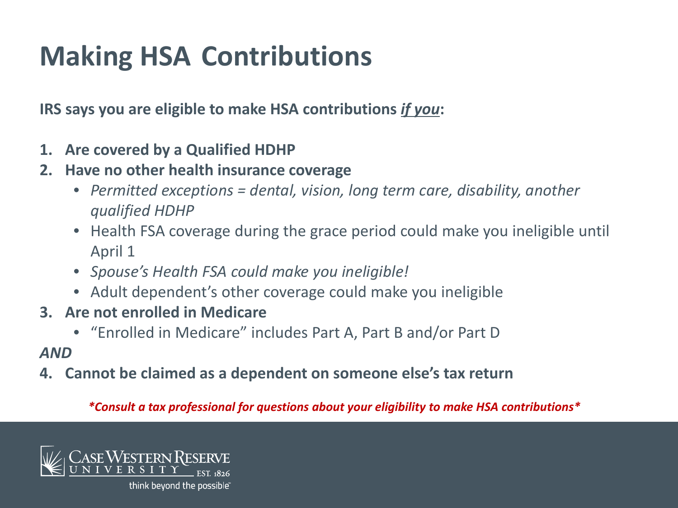# **Making HSA Contributions**

**IRS says you are eligible to make HSA contributions** *if you***:** 

- **1. Are covered by a Qualified HDHP**
- **2. Have no other health insurance coverage**
	- *Permitted exceptions = dental, vision, long term care, disability, another qualified HDHP*
	- Health FSA coverage during the grace period could make you ineligible until April 1
	- *Spouse's Health FSA could make you ineligible!*
	- Adult dependent's other coverage could make you ineligible
- **3. Are not enrolled in Medicare**
	- "Enrolled in Medicare" includes Part A, Part B and/or Part D

#### *AND*

**4. Cannot be claimed as a dependent on someone else's tax return**

*\*Consult a tax professional for questions about your eligibility to make HSA contributions\**

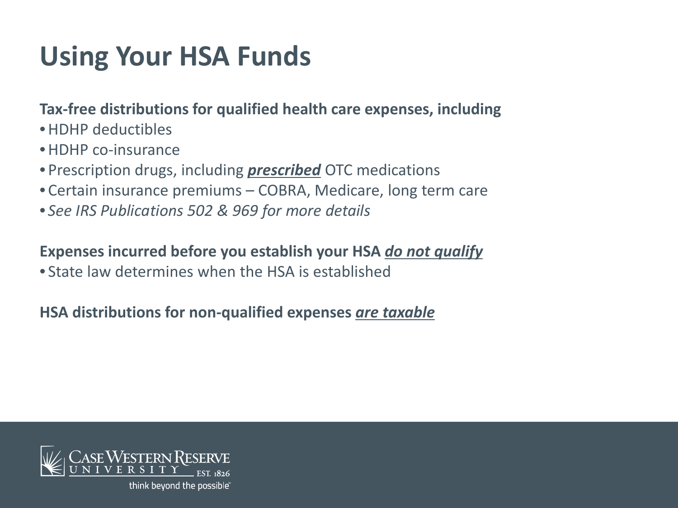# **Using Your HSA Funds**

### **Tax-free distributions for qualified health care expenses, including**

- •HDHP deductibles
- •HDHP co-insurance
- Prescription drugs, including *prescribed* OTC medications
- Certain insurance premiums COBRA, Medicare, long term care
- *See IRS Publications 502 & 969 for more details*

### **Expenses incurred before you establish your HSA** *do not qualify*

• State law determines when the HSA is established

### **HSA distributions for non-qualified expenses** *are taxable*



think beyond the possible<sup>®</sup>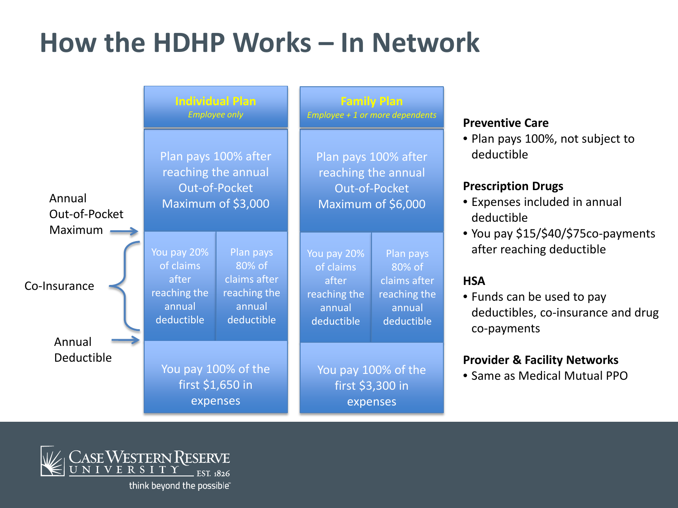## **How the HDHP Works – In Network**